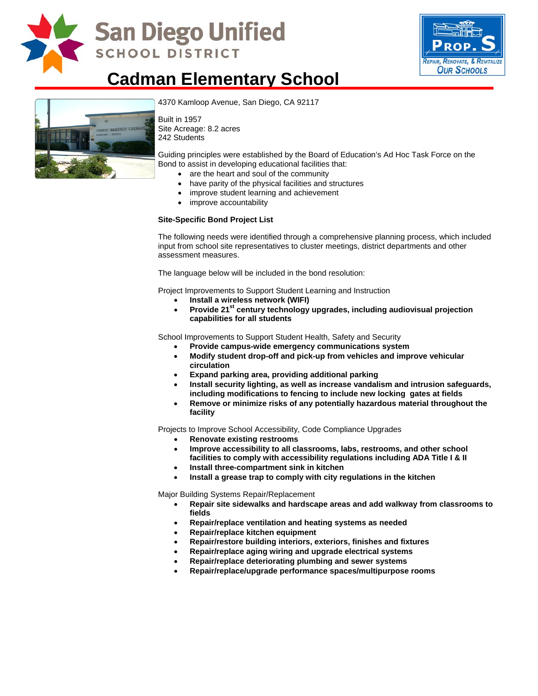

## **San Diego Unified SCHOOL DISTRICT**



### **Cadman Elementary School**



[4370 Kamloop Avenue, San Diego,](http://www.sandi.net/comm/schools/schlpix/cadman.jpg) CA 92117

Built in 1957 Site Acreage: 8.2 acres 242 Students

Guiding principles were established by the Board of Education's Ad Hoc Task Force on the Bond to assist in developing educational facilities that:

- are the heart and soul of the community
- have parity of the physical facilities and structures
- improve student learning and achievement
- improve accountability

#### **Site-Specific Bond Project List**

The following needs were identified through a comprehensive planning process, which included input from school site representatives to cluster meetings, district departments and other assessment measures.

The language below will be included in the bond resolution:

Project Improvements to Support Student Learning and Instruction

- **Install a wireless network (WIFI)**
- Provide 21<sup>st</sup> century technology upgrades, including audiovisual projection **capabilities for all students**

School Improvements to Support Student Health, Safety and Security

- **Provide campus-wide emergency communications system**
- **Modify student drop-off and pick-up from vehicles and improve vehicular circulation**
- **Expand parking area, providing additional parking**
- **Install security lighting, as well as increase vandalism and intrusion safeguards, including modifications to fencing to include new locking gates at fields**
- **Remove or minimize risks of any potentially hazardous material throughout the facility**

Projects to Improve School Accessibility, Code Compliance Upgrades

- **Renovate existing restrooms**
- **Improve accessibility to all classrooms, labs, restrooms, and other school facilities to comply with accessibility regulations including ADA Title I & II**
- **Install three-compartment sink in kitchen**
- **Install a grease trap to comply with city regulations in the kitchen**

Major Building Systems Repair/Replacement

- **Repair site sidewalks and hardscape areas and add walkway from classrooms to fields**
- **Repair/replace ventilation and heating systems as needed**
- **Repair/replace kitchen equipment**
- **Repair/restore building interiors, exteriors, finishes and fixtures**
- **Repair/replace aging wiring and upgrade electrical systems**
- **Repair/replace deteriorating plumbing and sewer systems**
- **Repair/replace/upgrade performance spaces/multipurpose rooms**